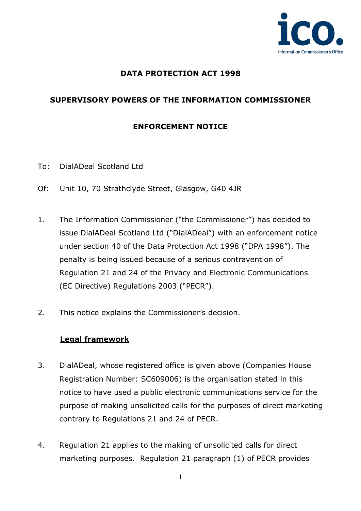

## **DATA PROTECTION ACT 1998**

## **SUPERVISORY POWERS OF THE INFORMATION COMMISSIONER**

## **ENFORCEMENT NOTICE**

- To: DialADeal Scotland Ltd
- Of: Unit 10, 70 Strathclyde Street, Glasgow, G40 4JR
- 1. The Information Commissioner ("the Commissioner") has decided to issue DialADeal Scotland Ltd ("DialADeal") with an enforcement notice under section 40 of the Data Protection Act 1998 ("DPA 1998"). The penalty is being issued because of a serious contravention of Regulation 21 and 24 of the Privacy and Electronic Communications (EC Directive) Regulations 2003 ("PECR").
- 2. This notice explains the Commissioner's decision.

## **Legal framework**

- 3. DialADeal, whose registered office is given above (Companies House Registration Number: SC609006) is the organisation stated in this notice to have used a public electronic communications service for the purpose of making unsolicited calls for the purposes of direct marketing contrary to Regulations 21 and 24 of PECR.
- 4. Regulation 21 applies to the making of unsolicited calls for direct marketing purposes. Regulation 21 paragraph (1) of PECR provides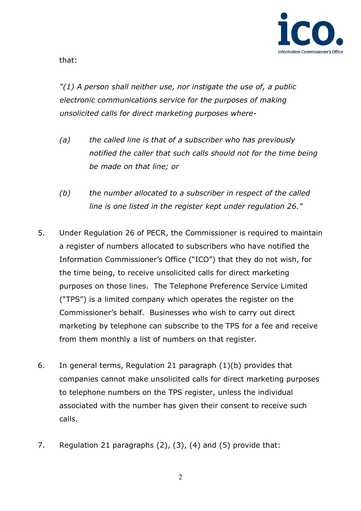

that:

*"(1) A person shall neither use, nor instigate the use of, a public electronic communications service for the purposes of making unsolicited calls for direct marketing purposes where-* 

- *(a) the called line is that of a subscriber who has previously notified the caller that such calls should not for the time being be made on that line; or*
- *(b) the number allocated to a subscriber in respect of the called line is one listed in the register kept under regulation 26."*
- 5. Under Regulation 26 of PECR, the Commissioner is required to maintain a register of numbers allocated to subscribers who have notified the Information Commissioner's Office ("ICO") that they do not wish, for the time being, to receive unsolicited calls for direct marketing purposes on those lines. The Telephone Preference Service Limited ("TPS") is a limited company which operates the register on the Commissioner's behalf. Businesses who wish to carry out direct marketing by telephone can subscribe to the TPS for a fee and receive from them monthly a list of numbers on that register.
- 6. In general terms, Regulation 21 paragraph (1)(b) provides that companies cannot make unsolicited calls for direct marketing purposes to telephone numbers on the TPS register, unless the individual associated with the number has given their consent to receive such calls.
- 7. Regulation 21 paragraphs (2), (3), (4) and (5) provide that: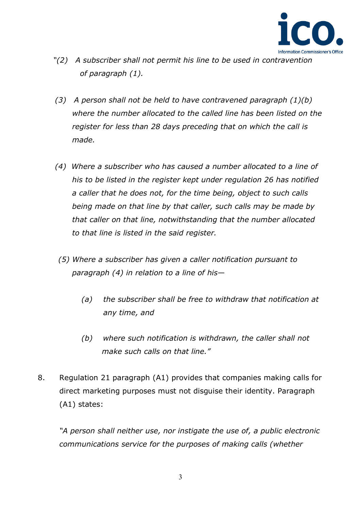

- *"(2) A subscriber shall not permit his line to be used in contravention of paragraph (1).*
- *(3) A person shall not be held to have contravened paragraph (1)(b) where the number allocated to the called line has been listed on the register for less than 28 days preceding that on which the call is made.*
- *(4) Where a subscriber who has caused a number allocated to a line of his to be listed in the register kept under regulation 26 has notified a caller that he does not, for the time being, object to such calls being made on that line by that caller, such calls may be made by that caller on that line, notwithstanding that the number allocated to that line is listed in the said register.*
- *(5) Where a subscriber has given a caller notification pursuant to paragraph (4) in relation to a line of his—* 
	- *(a) the subscriber shall be free to withdraw that notification at any time, and*
	- *(b) where such notification is withdrawn, the caller shall not make such calls on that line."*
- 8. Regulation 21 paragraph (A1) provides that companies making calls for direct marketing purposes must not disguise their identity. Paragraph (A1) states:

*"A person shall neither use, nor instigate the use of, a public electronic communications service for the purposes of making calls (whether*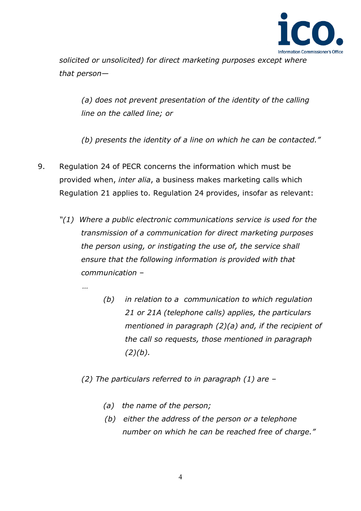

*solicited or unsolicited) for direct marketing purposes except where that person—* 

*(a) does not prevent presentation of the identity of the calling line on the called line; or*

*(b) presents the identity of a line on which he can be contacted."*

- 9. Regulation 24 of PECR concerns the information which must be provided when, *inter alia*, a business makes marketing calls which Regulation 21 applies to. Regulation 24 provides, insofar as relevant:
	- *"(1) Where a public electronic communications service is used for the transmission of a communication for direct marketing purposes the person using, or instigating the use of, the service shall ensure that the following information is provided with that communication –* 
		- *(b) in relation to a communication to which regulation 21 or 21A (telephone calls) applies, the particulars mentioned in paragraph (2)(a) and, if the recipient of the call so requests, those mentioned in paragraph (2)(b).*
		- *(2) The particulars referred to in paragraph (1) are* 
			- *(a) the name of the person;*

 *…* 

 *(b) either the address of the person or a telephone number on which he can be reached free of charge."*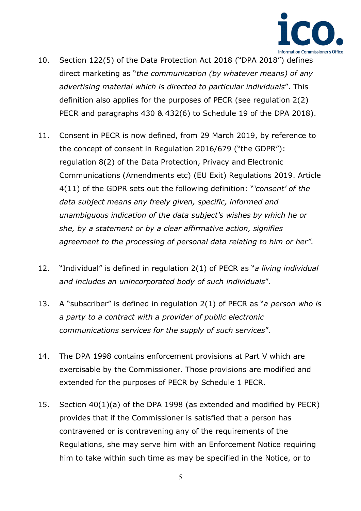

- 10. Section 122(5) of the Data Protection Act 2018 ("DPA 2018") defines direct marketing as "*the communication (by whatever means) of any advertising material which is directed to particular individuals*". This definition also applies for the purposes of PECR (see regulation 2(2) PECR and paragraphs 430 & 432(6) to Schedule 19 of the DPA 2018).
- 11. Consent in PECR is now defined, from 29 March 2019, by reference to the concept of consent in Regulation 2016/679 ("the GDPR"): regulation 8(2) of the Data Protection, Privacy and Electronic Communications (Amendments etc) (EU Exit) Regulations 2019. Article 4(11) of the GDPR sets out the following definition: "*'consent' of the data subject means any freely given, specific, informed and unambiguous indication of the data subject's wishes by which he or she, by a statement or by a clear affirmative action, signifies agreement to the processing of personal data relating to him or her".*
- 12. "Individual" is defined in regulation 2(1) of PECR as "*a living individual and includes an unincorporated body of such individuals*".
- 13. A "subscriber" is defined in regulation 2(1) of PECR as "*a person who is a party to a contract with a provider of public electronic communications services for the supply of such services*".
- 14. The DPA 1998 contains enforcement provisions at Part V which are exercisable by the Commissioner. Those provisions are modified and extended for the purposes of PECR by Schedule 1 PECR.
- 15. Section 40(1)(a) of the DPA 1998 (as extended and modified by PECR) provides that if the Commissioner is satisfied that a person has contravened or is contravening any of the requirements of the Regulations, she may serve him with an Enforcement Notice requiring him to take within such time as may be specified in the Notice, or to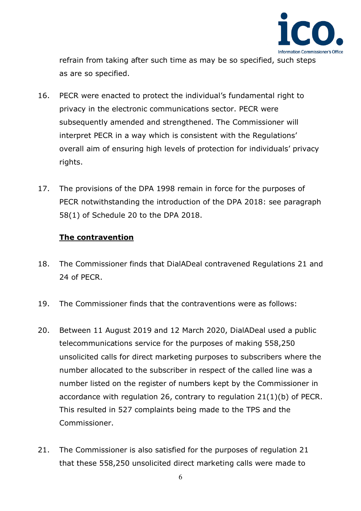

refrain from taking after such time as may be so specified, such steps as are so specified.

- 16. PECR were enacted to protect the individual's fundamental right to privacy in the electronic communications sector. PECR were subsequently amended and strengthened. The Commissioner will interpret PECR in a way which is consistent with the Regulations' overall aim of ensuring high levels of protection for individuals' privacy rights.
- 17. The provisions of the DPA 1998 remain in force for the purposes of PECR notwithstanding the introduction of the DPA 2018: see paragraph 58(1) of Schedule 20 to the DPA 2018.

#### **The contravention**

- 18. The Commissioner finds that DialADeal contravened Regulations 21 and 24 of PECR.
- 19. The Commissioner finds that the contraventions were as follows:
- 20. Between 11 August 2019 and 12 March 2020, DialADeal used a public telecommunications service for the purposes of making 558,250 unsolicited calls for direct marketing purposes to subscribers where the number allocated to the subscriber in respect of the called line was a number listed on the register of numbers kept by the Commissioner in accordance with regulation 26, contrary to regulation 21(1)(b) of PECR. This resulted in 527 complaints being made to the TPS and the Commissioner.
- 21. The Commissioner is also satisfied for the purposes of regulation 21 that these 558,250 unsolicited direct marketing calls were made to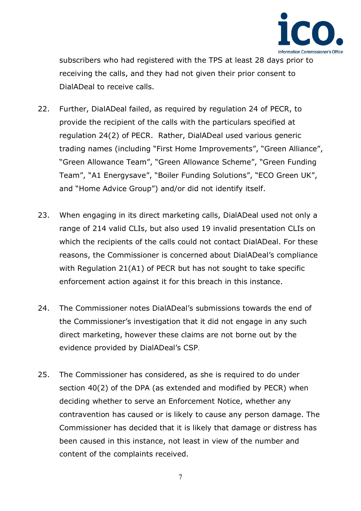

subscribers who had registered with the TPS at least 28 days prior to receiving the calls, and they had not given their prior consent to DialADeal to receive calls.

- 22. Further, DialADeal failed, as required by regulation 24 of PECR, to provide the recipient of the calls with the particulars specified at regulation 24(2) of PECR. Rather, DialADeal used various generic trading names (including "First Home Improvements", "Green Alliance", "Green Allowance Team", "Green Allowance Scheme", "Green Funding Team", "A1 Energysave", "Boiler Funding Solutions", "ECO Green UK", and "Home Advice Group") and/or did not identify itself.
- 23. When engaging in its direct marketing calls, DialADeal used not only a range of 214 valid CLIs, but also used 19 invalid presentation CLIs on which the recipients of the calls could not contact DialADeal. For these reasons, the Commissioner is concerned about DialADeal's compliance with Regulation 21(A1) of PECR but has not sought to take specific enforcement action against it for this breach in this instance.
- 24. The Commissioner notes DialADeal's submissions towards the end of the Commissioner's investigation that it did not engage in any such direct marketing, however these claims are not borne out by the evidence provided by DialADeal's CSP.
- 25. The Commissioner has considered, as she is required to do under section 40(2) of the DPA (as extended and modified by PECR) when deciding whether to serve an Enforcement Notice, whether any contravention has caused or is likely to cause any person damage. The Commissioner has decided that it is likely that damage or distress has been caused in this instance, not least in view of the number and content of the complaints received.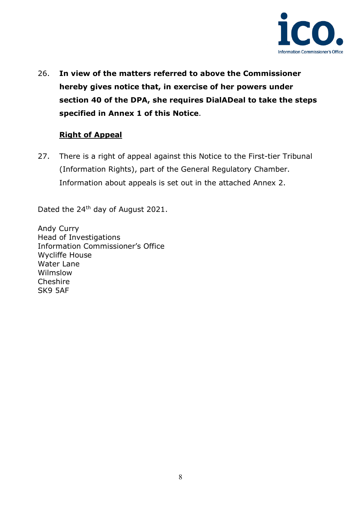

26. **In view of the matters referred to above the Commissioner hereby gives notice that, in exercise of her powers under section 40 of the DPA, she requires DialADeal to take the steps specified in Annex 1 of this Notice**.

## **Right of Appeal**

27. There is a right of appeal against this Notice to the First-tier Tribunal (Information Rights), part of the General Regulatory Chamber. Information about appeals is set out in the attached Annex 2.

Dated the 24<sup>th</sup> day of August 2021.

Andy Curry Head of Investigations Information Commissioner's Office Wycliffe House Water Lane Wilmslow **Cheshire** SK9 5AF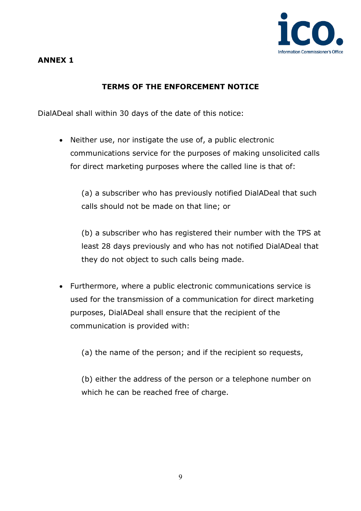

# **TERMS OF THE ENFORCEMENT NOTICE**

DialADeal shall within 30 days of the date of this notice:

• Neither use, nor instigate the use of, a public electronic communications service for the purposes of making unsolicited calls for direct marketing purposes where the called line is that of:

(a) a subscriber who has previously notified DialADeal that such calls should not be made on that line; or

(b) a subscriber who has registered their number with the TPS at least 28 days previously and who has not notified DialADeal that they do not object to such calls being made.

• Furthermore, where a public electronic communications service is used for the transmission of a communication for direct marketing purposes, DialADeal shall ensure that the recipient of the communication is provided with:

(a) the name of the person; and if the recipient so requests,

(b) either the address of the person or a telephone number on which he can be reached free of charge.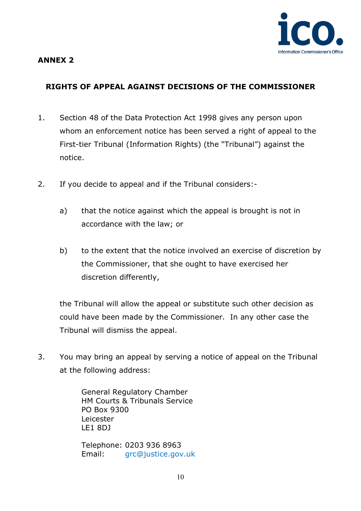

## **ANNEX 2**

# **RIGHTS OF APPEAL AGAINST DECISIONS OF THE COMMISSIONER**

- 1. Section 48 of the Data Protection Act 1998 gives any person upon whom an enforcement notice has been served a right of appeal to the First-tier Tribunal (Information Rights) (the "Tribunal") against the notice.
- 2. If you decide to appeal and if the Tribunal considers:
	- a) that the notice against which the appeal is brought is not in accordance with the law; or
	- b) to the extent that the notice involved an exercise of discretion by the Commissioner, that she ought to have exercised her discretion differently,

the Tribunal will allow the appeal or substitute such other decision as could have been made by the Commissioner. In any other case the Tribunal will dismiss the appeal.

3. You may bring an appeal by serving a notice of appeal on the Tribunal at the following address:

> General Regulatory Chamber HM Courts & Tribunals Service PO Box 9300 Leicester LE1 8DJ

Telephone: 0203 936 8963 Email: [grc@justice.gov.uk](mailto:grc@justice.gov.uk)